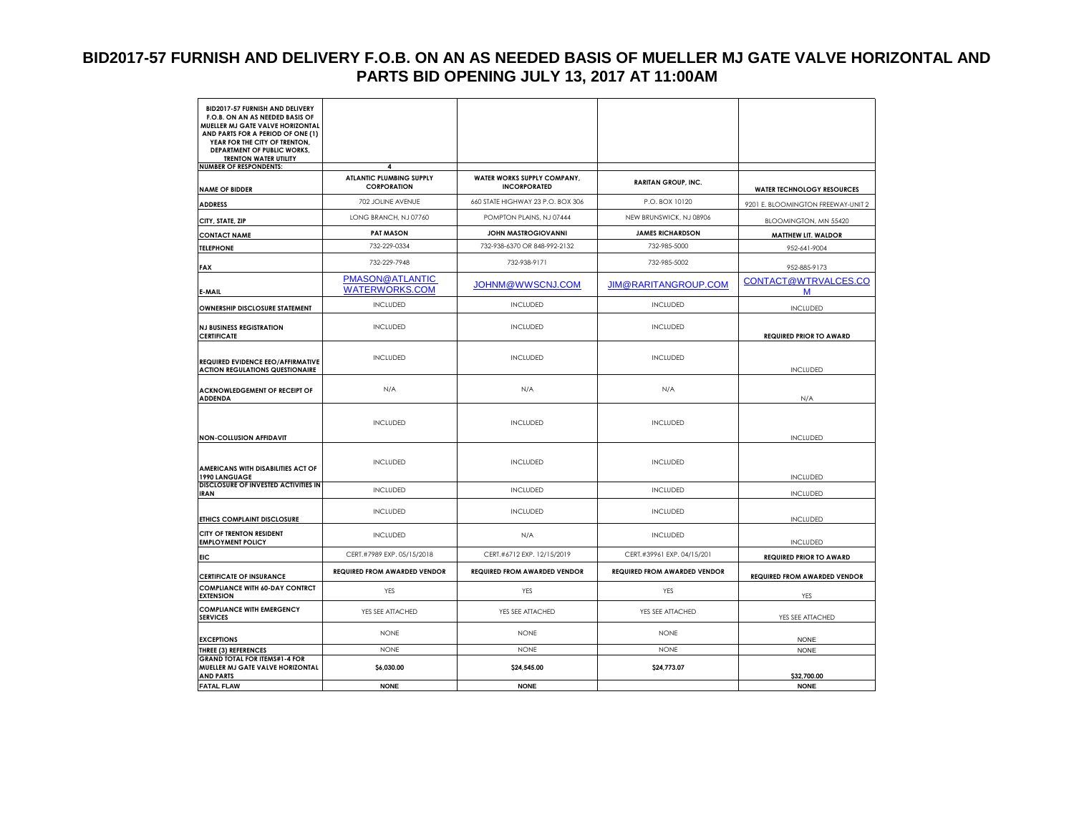### **BID2017-57 FURNISH AND DELIVERY F.O.B. ON AN AS NEEDED BASIS OF MUELLER MJ GATE VALVE HORIZONTAL AND PARTS BID OPENING JULY 13, 2017 AT 11:00AM**

| BID2017-57 FURNISH AND DELIVERY<br>F.O.B. ON AN AS NEEDED BASIS OF<br>MUELLER MJ GATE VALVE HORIZONTAL<br>AND PARTS FOR A PERIOD OF ONE (1)<br>YEAR FOR THE CITY OF TRENTON, |                                          |                                     |                                     |                                     |
|------------------------------------------------------------------------------------------------------------------------------------------------------------------------------|------------------------------------------|-------------------------------------|-------------------------------------|-------------------------------------|
| DEPARTMENT OF PUBLIC WORKS,<br><b>TRENTON WATER UTILITY</b>                                                                                                                  |                                          |                                     |                                     |                                     |
| <b>NUMBER OF RESPONDENTS:</b>                                                                                                                                                | 4                                        |                                     |                                     |                                     |
|                                                                                                                                                                              | ATLANTIC PLUMBING SUPPLY                 | WATER WORKS SUPPLY COMPANY,         | <b>RARITAN GROUP, INC.</b>          |                                     |
| <b>NAME OF BIDDER</b>                                                                                                                                                        | <b>CORPORATION</b>                       | <b>INCORPORATED</b>                 |                                     | <b>WATER TECHNOLOGY RESOURCES</b>   |
| <b>ADDRESS</b>                                                                                                                                                               | 702 JOLINE AVENUE                        | 660 STATE HIGHWAY 23 P.O. BOX 306   | P.O. BOX 10120                      | 9201 E. BLOOMINGTON FREEWAY-UNIT 2  |
| CITY, STATE, ZIP                                                                                                                                                             | LONG BRANCH, NJ 07760                    | POMPTON PLAINS, NJ 07444            | NEW BRUNSWICK, NJ 08906             | BLOOMINGTON, MN 55420               |
| <b>CONTACT NAME</b>                                                                                                                                                          | <b>PAT MASON</b>                         | <b>JOHN MASTROGIOVANNI</b>          | <b>JAMES RICHARDSON</b>             | <b>MATTHEW LIT. WALDOR</b>          |
| <b>TELEPHONE</b>                                                                                                                                                             | 732-229-0334                             | 732-938-6370 OR 848-992-2132        | 732-985-5000                        | 952-641-9004                        |
| <b>FAX</b>                                                                                                                                                                   | 732-229-7948                             | 732-938-9171                        | 732-985-5002                        | 952-885-9173                        |
| E-MAIL                                                                                                                                                                       | PMASON@ATLANTIC<br><b>WATERWORKS.COM</b> | JOHNM@WWSCNJ.COM                    | <b>JIM@RARITANGROUP.COM</b>         | CONTACT@WTRVALCES.CO<br>M           |
| <b>OWNERSHIP DISCLOSURE STATEMENT</b>                                                                                                                                        | <b>INCLUDED</b>                          | <b>INCLUDED</b>                     | <b>INCLUDED</b>                     | <b>INCLUDED</b>                     |
| <b>NJ BUSINESS REGISTRATION</b><br><b>CERTIFICATE</b>                                                                                                                        | <b>INCLUDED</b>                          | <b>INCLUDED</b>                     | <b>INCLUDED</b>                     | <b>REQUIRED PRIOR TO AWARD</b>      |
| REQUIRED EVIDENCE EEO/AFFIRMATIVE<br><b>ACTION REGULATIONS QUESTIONAIRE</b>                                                                                                  | <b>INCLUDED</b>                          | <b>INCLUDED</b>                     | <b>INCLUDED</b>                     | <b>INCLUDED</b>                     |
| <b>ACKNOWLEDGEMENT OF RECEIPT OF</b><br><b>ADDENDA</b>                                                                                                                       | N/A                                      | N/A                                 | N/A                                 | N/A                                 |
| <b>NON-COLLUSION AFFIDAVIT</b>                                                                                                                                               | <b>INCLUDED</b>                          | <b>INCLUDED</b>                     | INCLUDED                            | <b>INCLUDED</b>                     |
| AMERICANS WITH DISABILITIES ACT OF<br>1990 LANGUAGE                                                                                                                          | <b>INCLUDED</b>                          | <b>INCLUDED</b>                     | <b>INCLUDED</b>                     | <b>INCLUDED</b>                     |
| DISCLOSURE OF INVESTED ACTIVITIES IN<br><b>IRAN</b>                                                                                                                          | <b>INCLUDED</b>                          | <b>INCLUDED</b>                     | <b>INCLUDED</b>                     | <b>INCLUDED</b>                     |
| ETHICS COMPLAINT DISCLOSURE                                                                                                                                                  | <b>INCLUDED</b>                          | <b>INCLUDED</b>                     | <b>INCLUDED</b>                     | <b>INCLUDED</b>                     |
| CITY OF TRENTON RESIDENT<br><b>EMPLOYMENT POLICY</b>                                                                                                                         | <b>INCLUDED</b>                          | N/A                                 | <b>INCLUDED</b>                     | <b>INCLUDED</b>                     |
| <b>EIC</b>                                                                                                                                                                   | CERT.#7989 EXP. 05/15/2018               | CERT.#6712 EXP. 12/15/2019          | CERT.#39961 EXP. 04/15/201          | <b>REQUIRED PRIOR TO AWARD</b>      |
| <b>CERTIFICATE OF INSURANCE</b>                                                                                                                                              | <b>REQUIRED FROM AWARDED VENDOR</b>      | <b>REQUIRED FROM AWARDED VENDOR</b> | <b>REQUIRED FROM AWARDED VENDOR</b> | <b>REQUIRED FROM AWARDED VENDOR</b> |
| <b>COMPLIANCE WITH 60-DAY CONTRCT</b><br><b>EXTENSION</b>                                                                                                                    | <b>YES</b>                               | YES                                 | <b>YES</b>                          | YES                                 |
| <b>COMPLIANCE WITH EMERGENCY</b><br><b>SERVICES</b>                                                                                                                          | YES SEE ATTACHED                         | YES SEE ATTACHED                    | YES SEE ATTACHED                    | YES SEE ATTACHED                    |
| <b>EXCEPTIONS</b>                                                                                                                                                            | <b>NONE</b>                              | <b>NONE</b>                         | <b>NONE</b>                         | <b>NONE</b>                         |
| THREE (3) REFERENCES                                                                                                                                                         | <b>NONE</b>                              | <b>NONE</b>                         | <b>NONE</b>                         | <b>NONE</b>                         |
| <b>GRAND TOTAL FOR ITEMS#1-4 FOR</b><br>MUELLER MJ GATE VALVE HORIZONTAL<br><b>AND PARTS</b>                                                                                 | \$6,030.00                               | \$24,545.00                         | \$24,773.07                         | \$32,700.00                         |
| <b>FATAL FLAW</b>                                                                                                                                                            | <b>NONE</b>                              | <b>NONE</b>                         |                                     | <b>NONE</b>                         |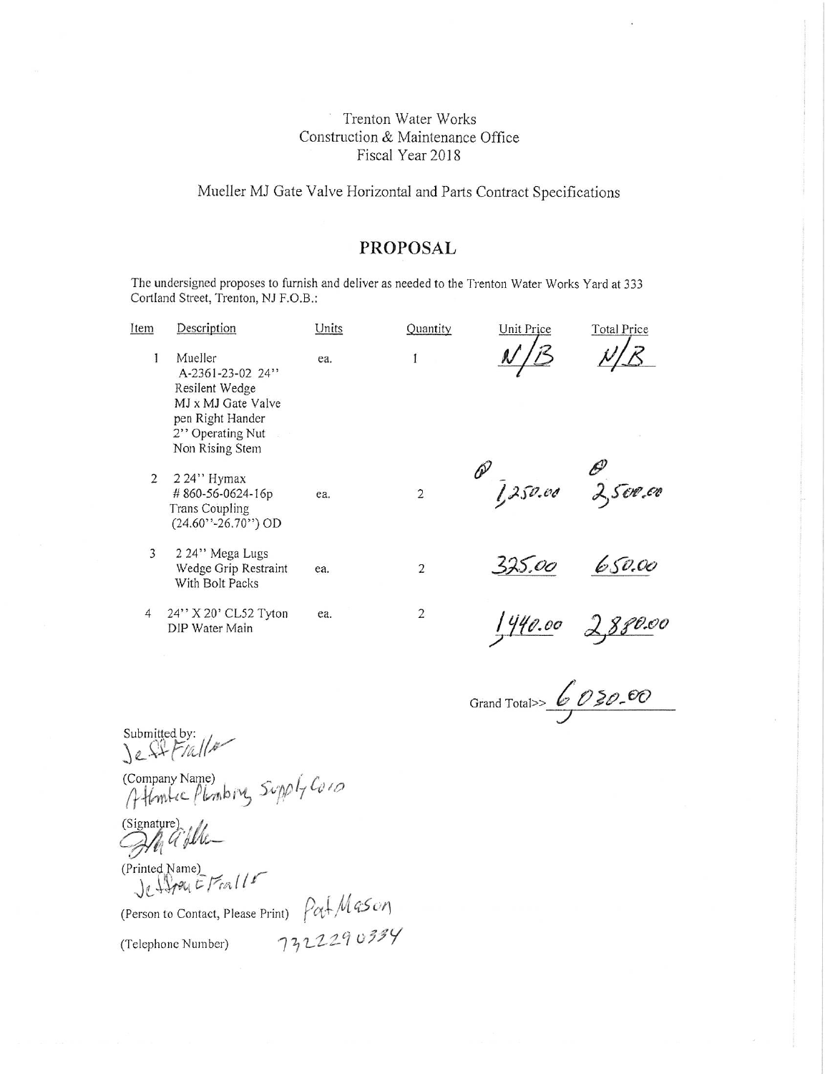#### Mueller MJ Gate Valve Horizontal and Parts Contract Specifications

### **PROPOSAL**

The undersigned proposes to furnish and deliver as needed to the Trenton Water Works Yard at 333 Cortland Street, Trenton, NJ F.O.B.:

| Item | Description                                                                                                                    | Units | Quantity       | Unit Price                 | <b>Total Price</b> |
|------|--------------------------------------------------------------------------------------------------------------------------------|-------|----------------|----------------------------|--------------------|
|      | Mueller<br>A-2361-23-02 24"<br>Resilent Wedge<br>MJ x MJ Gate Valve<br>pen Right Hander<br>2" Operating Nut<br>Non Rising Stem | ea.   |                |                            |                    |
| 2    | $224"$ Hymax<br>#860-56-0624-16p<br><b>Trans Coupling</b><br>$(24.60'$ '-26.70'') OD                                           | ea.   | $\overline{2}$ | $\alpha$ 1,250.00 2,500.00 |                    |
| 3    | 2 24" Mega Lugs<br>Wedge Grip Restraint<br>With Bolt Packs                                                                     | ea.   | $\overline{2}$ | 325.00                     | 650.00             |
| 4    | 24" X 20" CL52 Tyton<br>DIP Water Main                                                                                         | ea.   | $\overline{2}$ | 440.00                     | 880.00             |

Grand Total>>  $6030.00$ 

Submitted by:<br>Le SIFIalls

Company Name)<br>Atlantic Planbing Supply Co10

(Signature)<br>All a flu-

(Printed Name)<br>Je Hopey E Fralls

(Person to Contact, Please Print)  $\int \alpha \cdot \ln \sqrt{4S \omega}$ <br>(Telephone Number)  $\int 72229 \omega 339$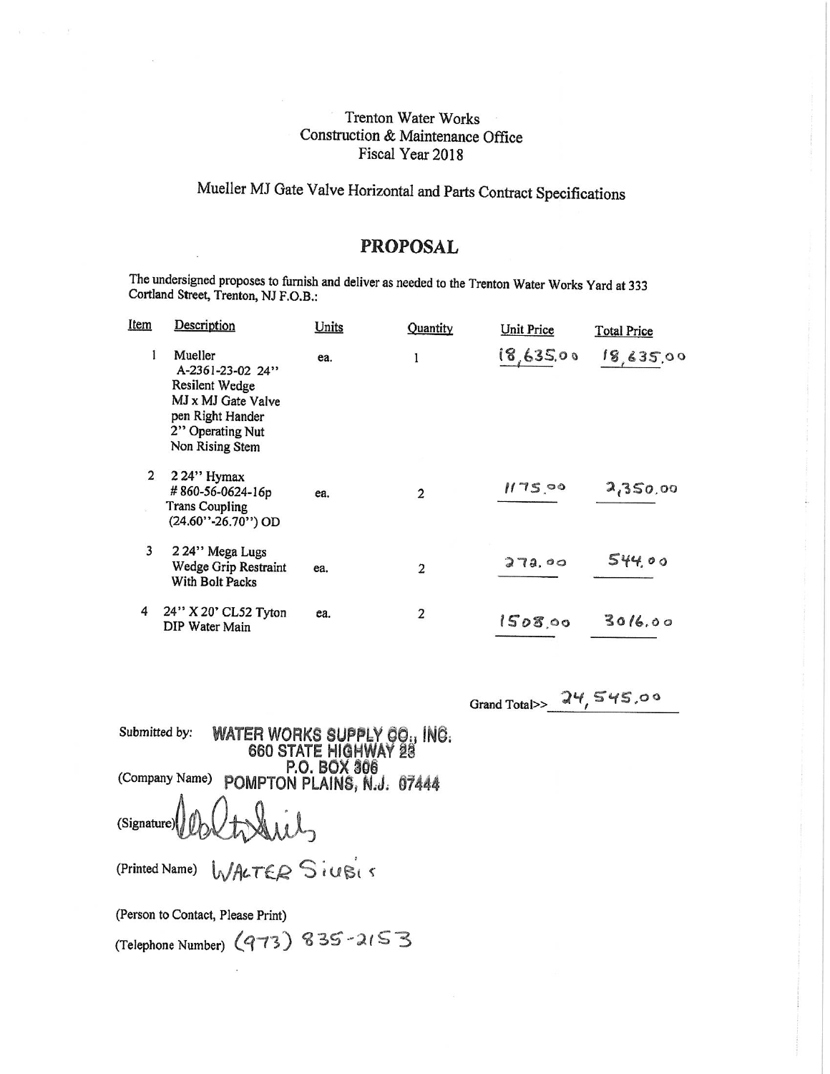# Mueller MJ Gate Valve Horizontal and Parts Contract Specifications

# **PROPOSAL**

The undersigned proposes to furnish and deliver as needed to the Trenton Water Works Yard at 333 Cortland Street, Trenton, NJ F.O.B.:

| Item | Description                                                                                                                    | Units | Quantity       | Unit Price | <b>Total Price</b> |
|------|--------------------------------------------------------------------------------------------------------------------------------|-------|----------------|------------|--------------------|
| 1    | Mueller<br>A-2361-23-02 24"<br>Resilent Wedge<br>MJ x MJ Gate Valve<br>pen Right Hander<br>2" Operating Nut<br>Non Rising Stem | ea.   | 1              | 18,635.00  | 18,635,00          |
| 2    | 2 24" Hymax<br>#860-56-0624-16p<br><b>Trans Coupling</b><br>(24.60"-26.70") OD                                                 | ea.   | $\overline{2}$ | 1175,00    | 2,350.00           |
| 3    | 224" Mega Lugs<br>Wedge Grip Restraint<br>With Bolt Packs                                                                      | ea.   | $\overline{2}$ | 272,00     | 544.00             |
| 4    | 24" X 20' CL52 Tyton<br>DIP Water Main                                                                                         | ea.   | 2              | 1508.00    | 3016.00            |

Grand Total>>  $24,545.00$ 

Submitted by: WATER WORKS SUPPLY CO., INC.<br>660 STATE HIGHWAY 28 Company Name) P.O. BOX 306<br>(Company Name) POMPTON PLAINS, N.J. 07444 (Signature)

WALTER SiVBIS (Printed Name)

(Person to Contact, Please Print)

(Telephone Number) (973) 835-2153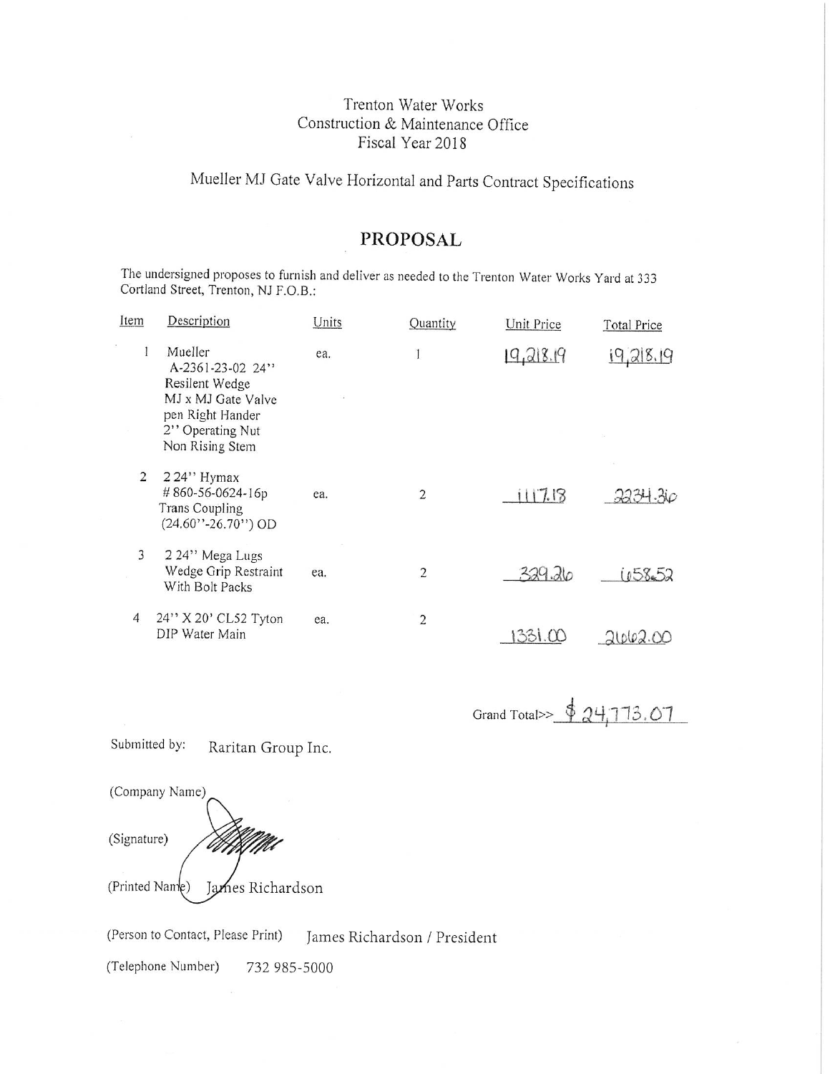# Mueller MJ Gate Valve Horizontal and Parts Contract Specifications

## **PROPOSAL**

The undersigned proposes to furnish and deliver as needed to the Trenton Water Works Yard at 333 Cortland Street, Trenton, NJ F.O.B.:

| Item | Description                                                                                                                    | Units | Quantity       | <b>Unit Price</b> | <b>Total Price</b> |
|------|--------------------------------------------------------------------------------------------------------------------------------|-------|----------------|-------------------|--------------------|
| 1    | Mueller<br>A-2361-23-02 24"<br>Resilent Wedge<br>MJ x MJ Gate Valve<br>pen Right Hander<br>2" Operating Nut<br>Non Rising Stem | ea.   |                | 19,218.19         | 19,218,19          |
| 2    | 224" Hymax<br>#860-56-0624-16p<br><b>Trans Coupling</b><br>$(24.60'$ '-26.70'') OD                                             | ea.   | 2              | 1117.18           | 2234.30            |
| 3    | 224" Mega Lugs<br>Wedge Grip Restraint<br>With Bolt Packs                                                                      | ea.   | $\overline{2}$ | 329.26            | 1058.52            |
| 4    | 24" X 20' CL52 Tyton<br>DIP Water Main                                                                                         | ea.   | $\overline{2}$ | 331.00            |                    |

Grand Total>> \$ 24,773.07

Submitted by: Raritan Group Inc.



(Person to Contact, Please Print) James Richardson / President

(Telephone Number) 732 985-5000